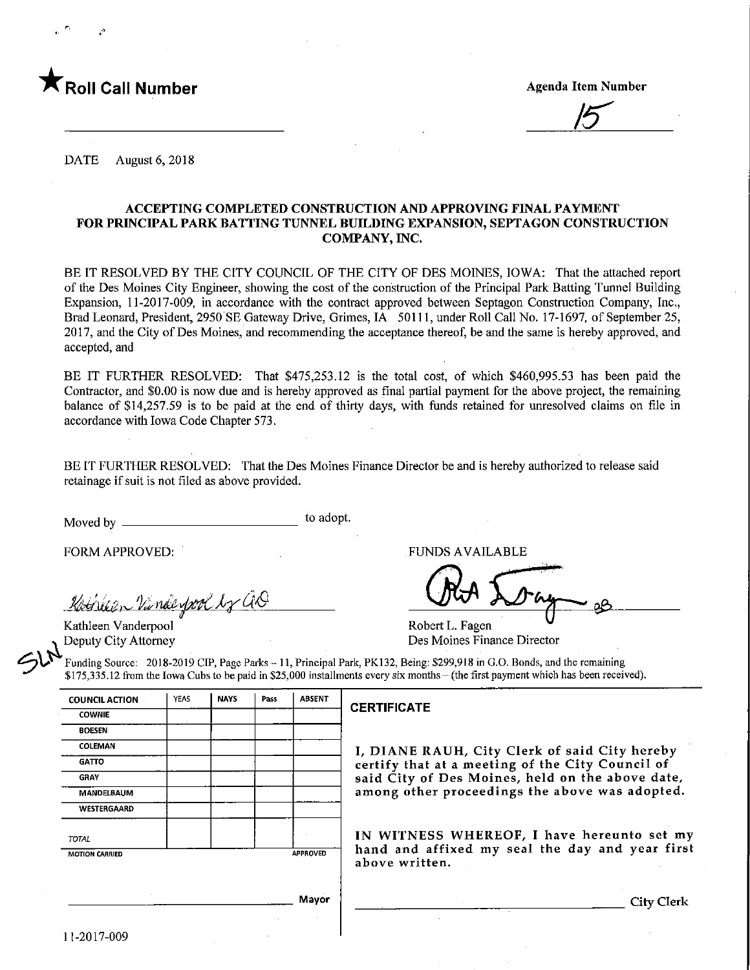

 $\overline{5}$ 

DATE August 6, 2018

#### ACCEPTING COMPLETED CONSTRUCTION AND APPROVING FINAL PAYMENT FOR PRINCIPAL PARK BATTING TUNNEL BUILDING EXPANSION, SEPTAGON CONSTRUCTION COMPANY, WC.

BE IT RESOLVED BY THE CITY COUNCIL OF THE CITY OF DES MOINES, IOWA: That the attached report of the Des Moines City Engineer, showing the cost of the construction of the Principal Park Batting Tunnel Building Expansion, 11-2017-009, in accordance with the contract approved between Septagon Construction Company, Inc., Brad Leonard, President, 2950 SE Gateway Drive, Grimes, IA 50111, under Roll Call No. 17-1697, of September 25, 2017, and the City of Des Moines, and recommending the acceptance thereof, be and the same is hereby approved, and accepted, and

BE IT FURTHER RESOLVED: That \$475,253.12 is the total cost, of which \$460,995.53 has been paid the Contractor, and \$0.00 is now due and is hereby approved as final partial payment for the above project, the remaining balance of \$14,257.59 is to be paid at the end of thirty days, with funds retained for unresolved claims on file in accordance with Iowa Code Chapter 573.

BE IT FURTHER RESOLVED: That the Des Moines Finance Director be and is hereby authorized to release said retainage if suit is not filed as above provided.

Moved by to adopt.

FORM APPROVED:

Kotheen Vande fool by aO

Kathleen Vanderpool Deputy City Attorney

 $\mathcal{S}^{\mu}$ 

FUNDS AVAILABLE

Robert L. Fagen Des Moines Finance Director

Funding Source: 2018-2019 CIP, Page Parks- 11, Principal Park, PK132, Being: \$299,918 in G.O. Bonds, and the remaining \$175,335.12 from the Iowa Cubs to be paid in \$25,000 installments every six months-(the first payment which has been received).

COUNCIL ACTION **COWNIE** BOESEN **COLEMAN GATTO GRAY** MANDELBAUM WESTERGAARD TOTAL MOTION CARRIED YEAS | NAYS | Pass | ABSENT APPROVED Mayor

#### **CERTIFICATE**

I, DIANE RAUH, City Clerk of said City hereby certify that at a meeting of the City Council of said City of Des Moines, held on the above date, among other proceedings the above was adopted.

IN WITNESS WHEREOF, I have hereunto set my hand and affixed my seal the day and year first above written.

City Clerk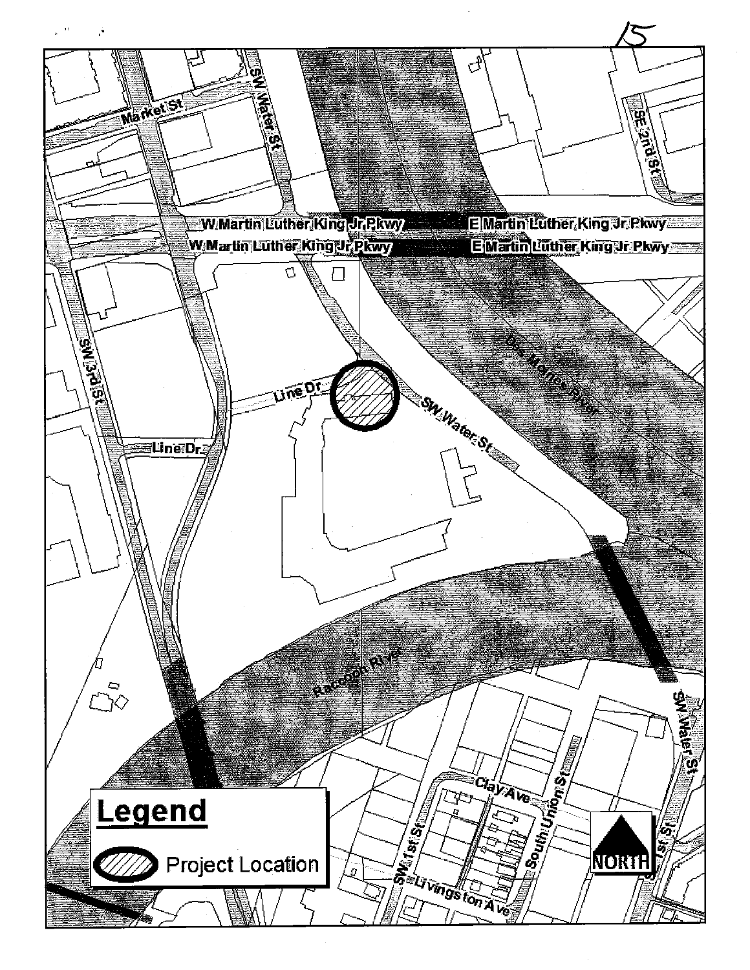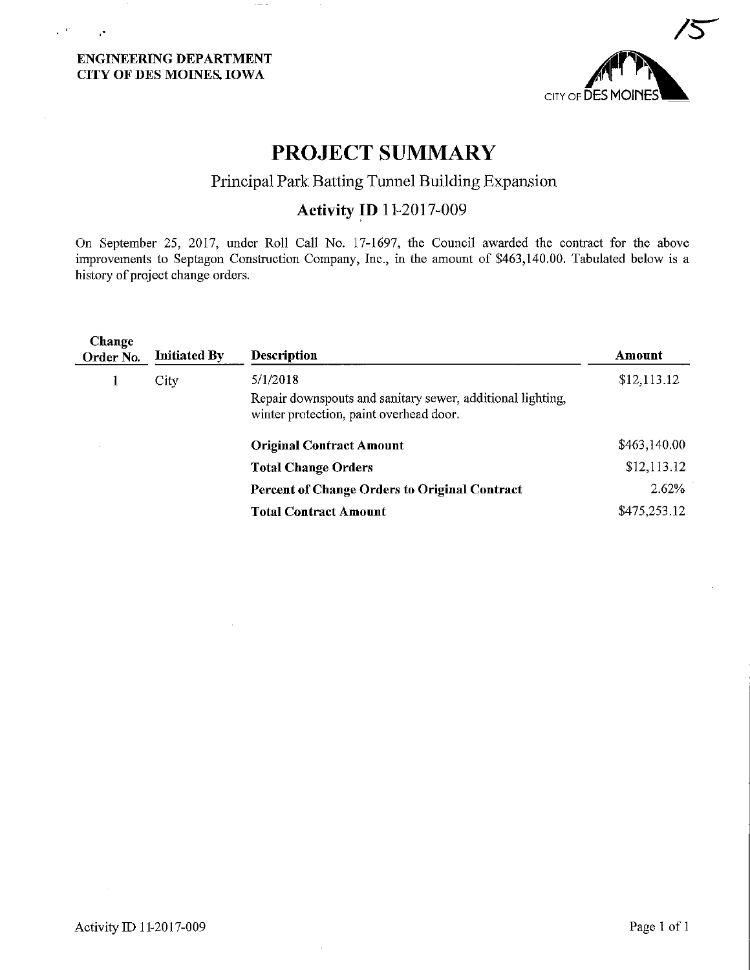### ENGINEERING DEPARTMENT CITY OF DES MOINES. IOWA

 $\mathbf{r} \in \mathbf{C}$ 

 $\cdot$ 



## PROJECT SUMMARY

## Principal Park Batting Tunnel Building Expansion

## Activity ID 11-2017-009

On September 25, 2017, under Roll Call No. 17-1697, the Council awarded the contract for the above improvements to Septagon Construction Company, Inc., in the amount of \$463,140.00. Tabulated below is a history of project change orders.

| Change<br>Order No. | <b>Initiated By</b> | <b>Description</b>                                                                                    | Amount       |  |  |
|---------------------|---------------------|-------------------------------------------------------------------------------------------------------|--------------|--|--|
| City                |                     | 5/1/2018                                                                                              | \$12,113.12  |  |  |
|                     |                     | Repair downspouts and sanitary sewer, additional lighting,<br>winter protection, paint overhead door. |              |  |  |
|                     |                     | <b>Original Contract Amount</b>                                                                       | \$463,140.00 |  |  |
|                     |                     | <b>Total Change Orders</b>                                                                            | \$12,113.12  |  |  |
|                     |                     | <b>Percent of Change Orders to Original Contract</b>                                                  | 2.62%        |  |  |
|                     |                     | <b>Total Contract Amount</b>                                                                          | \$475,253.12 |  |  |
|                     |                     |                                                                                                       |              |  |  |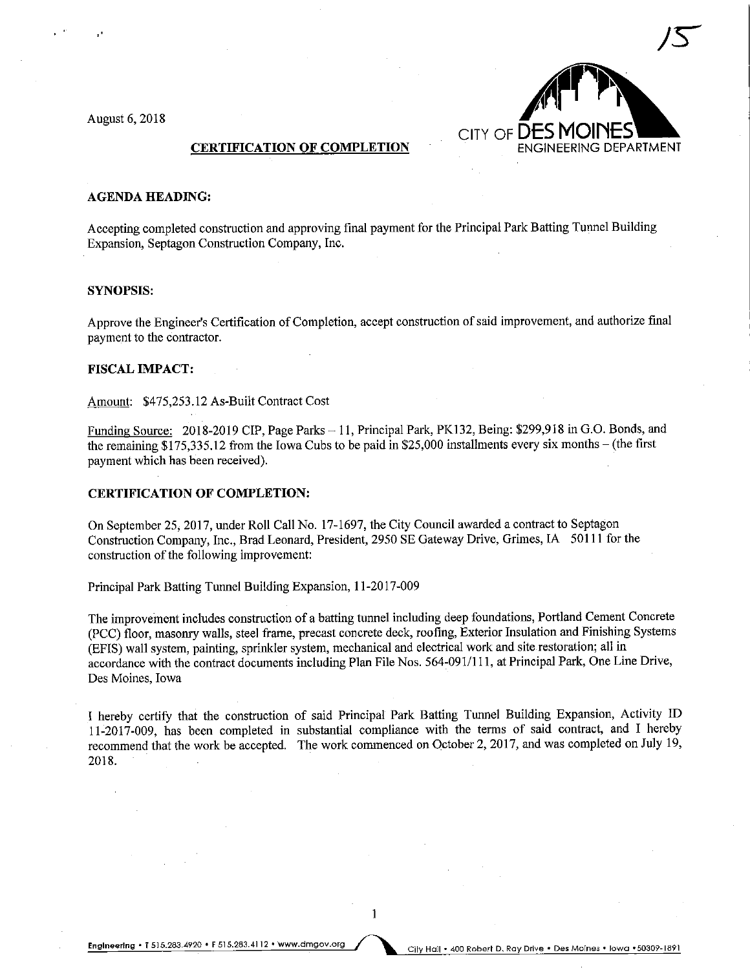6,2018



#### **CERTIFICATION OF COMPLETION**

#### AGENDA HEADING:

Accepting completed construction and approving final payment for the Principal Park Batting Tunnel Building Expansion, Septagon Construction Company, Inc.

#### SYNOPSIS:

Approve the Engineer's Certification of Completion, accept construction of said improvement, and authorize final payment to the contractor.

#### FISCAL IMPACT:

Amount: \$475,253.12 As-Built Contract Cost

Funding Source: 2018-2019 CIP, Page Parks - 11, Principal Park, PK132, Being: \$299,918 in G.O. Bonds, and the remaining  $$175,335.12$  from the Iowa Cubs to be paid in \$25,000 installments every six months – (the first payment which has been received).

#### CERTIFICATION OF COMPLETION:

On September 25, 2017, under Roll Call No. 17-1697, the City Council awarded a contract to Septagon Construction Company, Inc., Brad Leonard, President, 2950 SE Gateway Drive, Grimes, IA 50111 for the construction of the following improvement:

Principal Park Batting Tunnel Building Expansion, 11-2017-009

The improvement includes construction of a batting tunnel including deep foundations, Portland Cement Concrete (PCC) floor, masonry walls, steel frame, precast concrete deck, roofing, Exterior Insulation and Finishing Systems (EFIS) wall system, painting, sprinkler system, mechanical and electrical work and site restoration; all in accordance with the contract documents including Plan File Nos. 564-091/1 11, at Principal Park, One Line Drive, Des Moines, Iowa

I hereby certify that the construction of said Principal Park Batting Tunnel Building Expansion, Activity ID 11-2017-009, has been completed in substantial compliance with the terms of said contract, and I hereby recommend that the work be accepted. The work commenced on October 2, 2017, and was completed on July 19, 2018.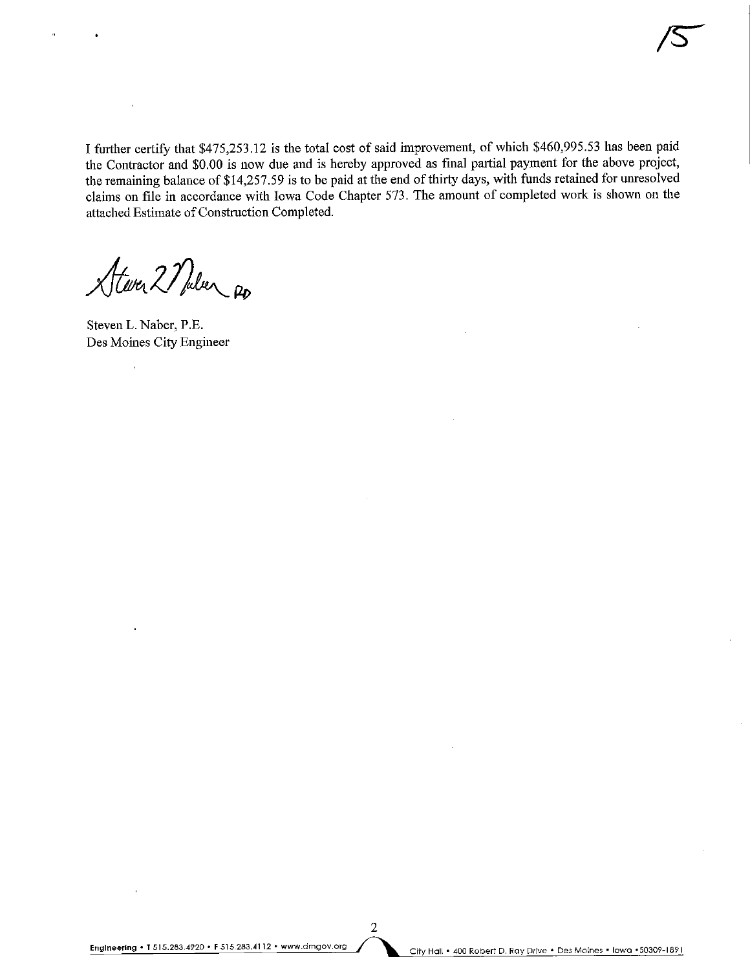I further certify that \$475,253.12 is the total cost of said improvement, of which \$460,995.53 has been paid the Contractor and \$0.00 is now due and is hereby approved as final partial payment for the above project, the remaming balance of \$14,257.59 is to be paid at the end of thirty days, with funds retained for unresolved claims on file in accordance with Iowa Code Chapter 573. The amount of completed work is shown on the attached Estimate of Construction Completed.

Atever 2 Nulser Ro

Steven L. Naber, P.E. Des Moines City Engineer